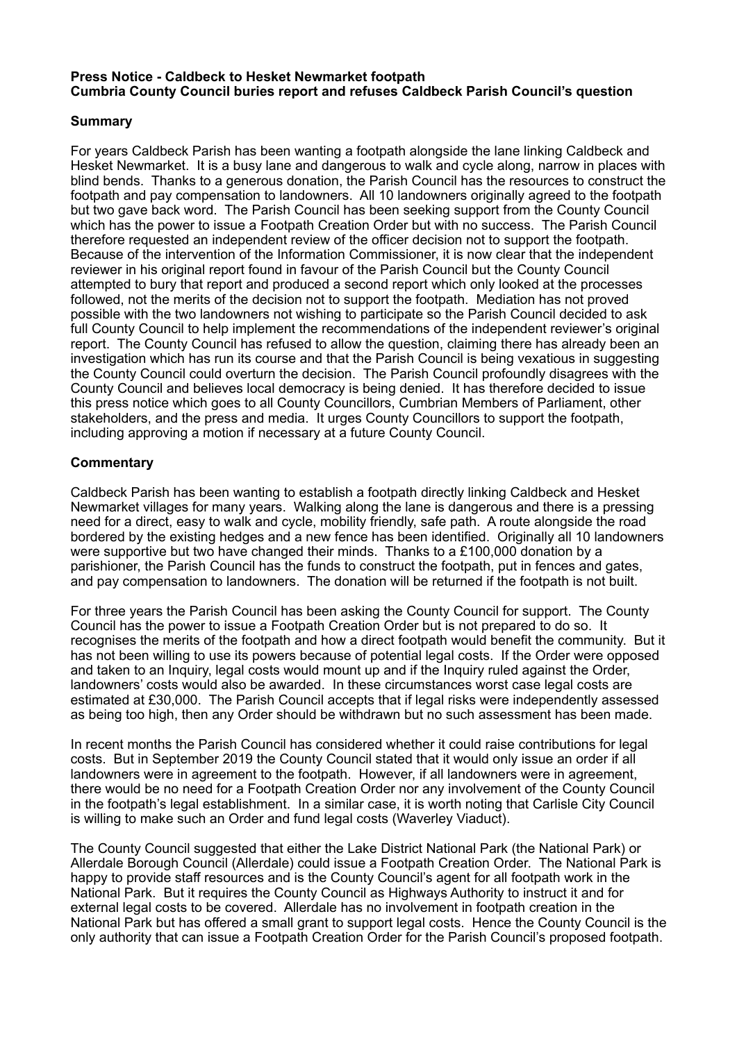# **Press Notice - Caldbeck to Hesket Newmarket footpath Cumbria County Council buries report and refuses Caldbeck Parish Council's question**

# **Summary**

For years Caldbeck Parish has been wanting a footpath alongside the lane linking Caldbeck and Hesket Newmarket. It is a busy lane and dangerous to walk and cycle along, narrow in places with blind bends. Thanks to a generous donation, the Parish Council has the resources to construct the footpath and pay compensation to landowners. All 10 landowners originally agreed to the footpath but two gave back word. The Parish Council has been seeking support from the County Council which has the power to issue a Footpath Creation Order but with no success. The Parish Council therefore requested an independent review of the officer decision not to support the footpath. Because of the intervention of the Information Commissioner, it is now clear that the independent reviewer in his original report found in favour of the Parish Council but the County Council attempted to bury that report and produced a second report which only looked at the processes followed, not the merits of the decision not to support the footpath. Mediation has not proved possible with the two landowners not wishing to participate so the Parish Council decided to ask full County Council to help implement the recommendations of the independent reviewer's original report. The County Council has refused to allow the question, claiming there has already been an investigation which has run its course and that the Parish Council is being vexatious in suggesting the County Council could overturn the decision. The Parish Council profoundly disagrees with the County Council and believes local democracy is being denied. It has therefore decided to issue this press notice which goes to all County Councillors, Cumbrian Members of Parliament, other stakeholders, and the press and media. It urges County Councillors to support the footpath, including approving a motion if necessary at a future County Council.

# **Commentary**

Caldbeck Parish has been wanting to establish a footpath directly linking Caldbeck and Hesket Newmarket villages for many years. Walking along the lane is dangerous and there is a pressing need for a direct, easy to walk and cycle, mobility friendly, safe path. A route alongside the road bordered by the existing hedges and a new fence has been identified. Originally all 10 landowners were supportive but two have changed their minds. Thanks to a £100,000 donation by a parishioner, the Parish Council has the funds to construct the footpath, put in fences and gates, and pay compensation to landowners. The donation will be returned if the footpath is not built.

For three years the Parish Council has been asking the County Council for support. The County Council has the power to issue a Footpath Creation Order but is not prepared to do so. It recognises the merits of the footpath and how a direct footpath would benefit the community. But it has not been willing to use its powers because of potential legal costs. If the Order were opposed and taken to an Inquiry, legal costs would mount up and if the Inquiry ruled against the Order, landowners' costs would also be awarded. In these circumstances worst case legal costs are estimated at £30,000. The Parish Council accepts that if legal risks were independently assessed as being too high, then any Order should be withdrawn but no such assessment has been made.

In recent months the Parish Council has considered whether it could raise contributions for legal costs. But in September 2019 the County Council stated that it would only issue an order if all landowners were in agreement to the footpath. However, if all landowners were in agreement, there would be no need for a Footpath Creation Order nor any involvement of the County Council in the footpath's legal establishment. In a similar case, it is worth noting that Carlisle City Council is willing to make such an Order and fund legal costs (Waverley Viaduct).

The County Council suggested that either the Lake District National Park (the National Park) or Allerdale Borough Council (Allerdale) could issue a Footpath Creation Order. The National Park is happy to provide staff resources and is the County Council's agent for all footpath work in the National Park. But it requires the County Council as Highways Authority to instruct it and for external legal costs to be covered. Allerdale has no involvement in footpath creation in the National Park but has offered a small grant to support legal costs. Hence the County Council is the only authority that can issue a Footpath Creation Order for the Parish Council's proposed footpath.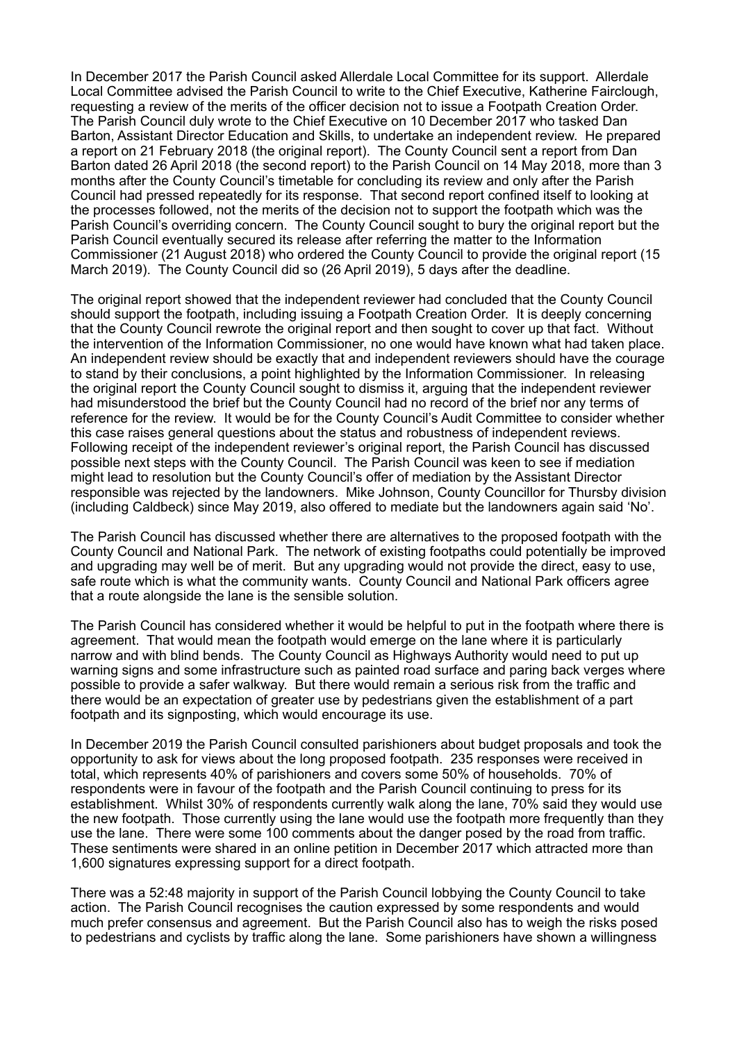In December 2017 the Parish Council asked Allerdale Local Committee for its support. Allerdale Local Committee advised the Parish Council to write to the Chief Executive, Katherine Fairclough, requesting a review of the merits of the officer decision not to issue a Footpath Creation Order. The Parish Council duly wrote to the Chief Executive on 10 December 2017 who tasked Dan Barton, Assistant Director Education and Skills, to undertake an independent review. He prepared a report on 21 February 2018 (the original report). The County Council sent a report from Dan Barton dated 26 April 2018 (the second report) to the Parish Council on 14 May 2018, more than 3 months after the County Council's timetable for concluding its review and only after the Parish Council had pressed repeatedly for its response. That second report confined itself to looking at the processes followed, not the merits of the decision not to support the footpath which was the Parish Council's overriding concern. The County Council sought to bury the original report but the Parish Council eventually secured its release after referring the matter to the Information Commissioner (21 August 2018) who ordered the County Council to provide the original report (15 March 2019). The County Council did so (26 April 2019), 5 days after the deadline.

The original report showed that the independent reviewer had concluded that the County Council should support the footpath, including issuing a Footpath Creation Order. It is deeply concerning that the County Council rewrote the original report and then sought to cover up that fact. Without the intervention of the Information Commissioner, no one would have known what had taken place. An independent review should be exactly that and independent reviewers should have the courage to stand by their conclusions, a point highlighted by the Information Commissioner. In releasing the original report the County Council sought to dismiss it, arguing that the independent reviewer had misunderstood the brief but the County Council had no record of the brief nor any terms of reference for the review. It would be for the County Council's Audit Committee to consider whether this case raises general questions about the status and robustness of independent reviews. Following receipt of the independent reviewer's original report, the Parish Council has discussed possible next steps with the County Council. The Parish Council was keen to see if mediation might lead to resolution but the County Council's offer of mediation by the Assistant Director responsible was rejected by the landowners. Mike Johnson, County Councillor for Thursby division (including Caldbeck) since May 2019, also offered to mediate but the landowners again said 'No'.

The Parish Council has discussed whether there are alternatives to the proposed footpath with the County Council and National Park. The network of existing footpaths could potentially be improved and upgrading may well be of merit. But any upgrading would not provide the direct, easy to use, safe route which is what the community wants. County Council and National Park officers agree that a route alongside the lane is the sensible solution.

The Parish Council has considered whether it would be helpful to put in the footpath where there is agreement. That would mean the footpath would emerge on the lane where it is particularly narrow and with blind bends. The County Council as Highways Authority would need to put up warning signs and some infrastructure such as painted road surface and paring back verges where possible to provide a safer walkway. But there would remain a serious risk from the traffic and there would be an expectation of greater use by pedestrians given the establishment of a part footpath and its signposting, which would encourage its use.

In December 2019 the Parish Council consulted parishioners about budget proposals and took the opportunity to ask for views about the long proposed footpath. 235 responses were received in total, which represents 40% of parishioners and covers some 50% of households. 70% of respondents were in favour of the footpath and the Parish Council continuing to press for its establishment. Whilst 30% of respondents currently walk along the lane, 70% said they would use the new footpath. Those currently using the lane would use the footpath more frequently than they use the lane. There were some 100 comments about the danger posed by the road from traffic. These sentiments were shared in an online petition in December 2017 which attracted more than 1,600 signatures expressing support for a direct footpath.

There was a 52:48 majority in support of the Parish Council lobbying the County Council to take action. The Parish Council recognises the caution expressed by some respondents and would much prefer consensus and agreement. But the Parish Council also has to weigh the risks posed to pedestrians and cyclists by traffic along the lane. Some parishioners have shown a willingness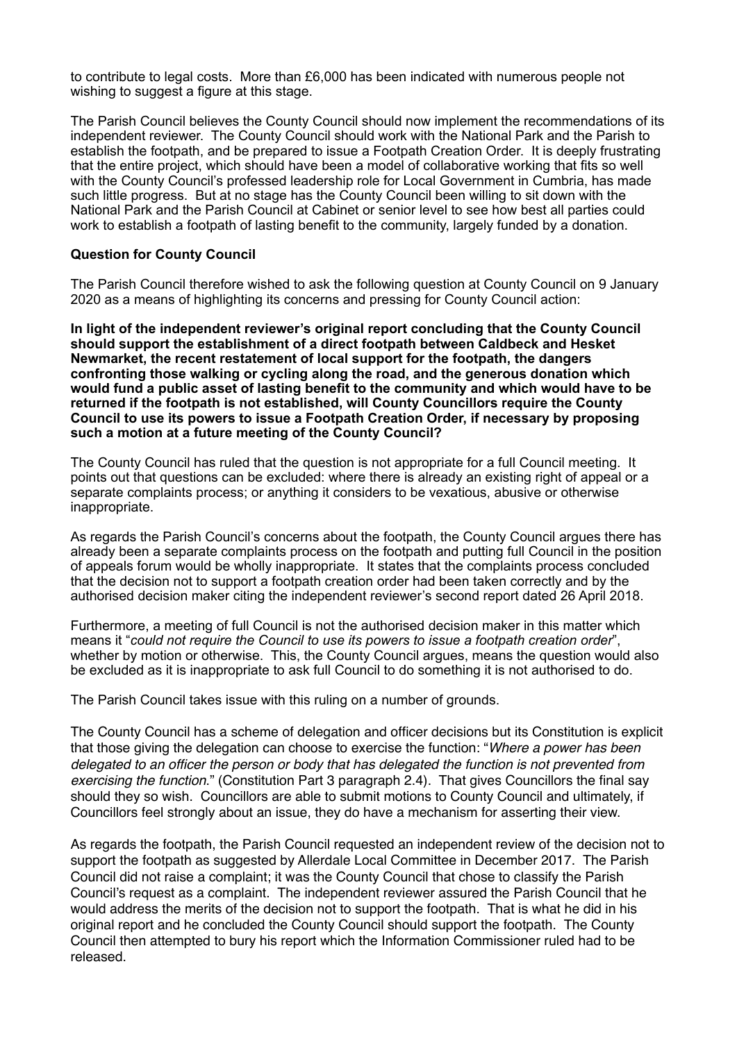to contribute to legal costs. More than £6,000 has been indicated with numerous people not wishing to suggest a figure at this stage.

The Parish Council believes the County Council should now implement the recommendations of its independent reviewer. The County Council should work with the National Park and the Parish to establish the footpath, and be prepared to issue a Footpath Creation Order. It is deeply frustrating that the entire project, which should have been a model of collaborative working that fits so well with the County Council's professed leadership role for Local Government in Cumbria, has made such little progress. But at no stage has the County Council been willing to sit down with the National Park and the Parish Council at Cabinet or senior level to see how best all parties could work to establish a footpath of lasting benefit to the community, largely funded by a donation.

# **Question for County Council**

The Parish Council therefore wished to ask the following question at County Council on 9 January 2020 as a means of highlighting its concerns and pressing for County Council action:

**In light of the independent reviewer's original report concluding that the County Council should support the establishment of a direct footpath between Caldbeck and Hesket Newmarket, the recent restatement of local support for the footpath, the dangers confronting those walking or cycling along the road, and the generous donation which would fund a public asset of lasting benefit to the community and which would have to be returned if the footpath is not established, will County Councillors require the County Council to use its powers to issue a Footpath Creation Order, if necessary by proposing such a motion at a future meeting of the County Council?** 

The County Council has ruled that the question is not appropriate for a full Council meeting. It points out that questions can be excluded: where there is already an existing right of appeal or a separate complaints process; or anything it considers to be vexatious, abusive or otherwise inappropriate.

As regards the Parish Council's concerns about the footpath, the County Council argues there has already been a separate complaints process on the footpath and putting full Council in the position of appeals forum would be wholly inappropriate. It states that the complaints process concluded that the decision not to support a footpath creation order had been taken correctly and by the authorised decision maker citing the independent reviewer's second report dated 26 April 2018.

Furthermore, a meeting of full Council is not the authorised decision maker in this matter which means it "*could not require the Council to use its powers to issue a footpath creation order*", whether by motion or otherwise. This, the County Council argues, means the question would also be excluded as it is inappropriate to ask full Council to do something it is not authorised to do.

The Parish Council takes issue with this ruling on a number of grounds.

The County Council has a scheme of delegation and officer decisions but its Constitution is explicit that those giving the delegation can choose to exercise the function: "*Where a power has been delegated to an officer the person or body that has delegated the function is not prevented from exercising the function*." (Constitution Part 3 paragraph 2.4). That gives Councillors the final say should they so wish. Councillors are able to submit motions to County Council and ultimately, if Councillors feel strongly about an issue, they do have a mechanism for asserting their view.

As regards the footpath, the Parish Council requested an independent review of the decision not to support the footpath as suggested by Allerdale Local Committee in December 2017. The Parish Council did not raise a complaint; it was the County Council that chose to classify the Parish Council's request as a complaint. The independent reviewer assured the Parish Council that he would address the merits of the decision not to support the footpath. That is what he did in his original report and he concluded the County Council should support the footpath. The County Council then attempted to bury his report which the Information Commissioner ruled had to be released.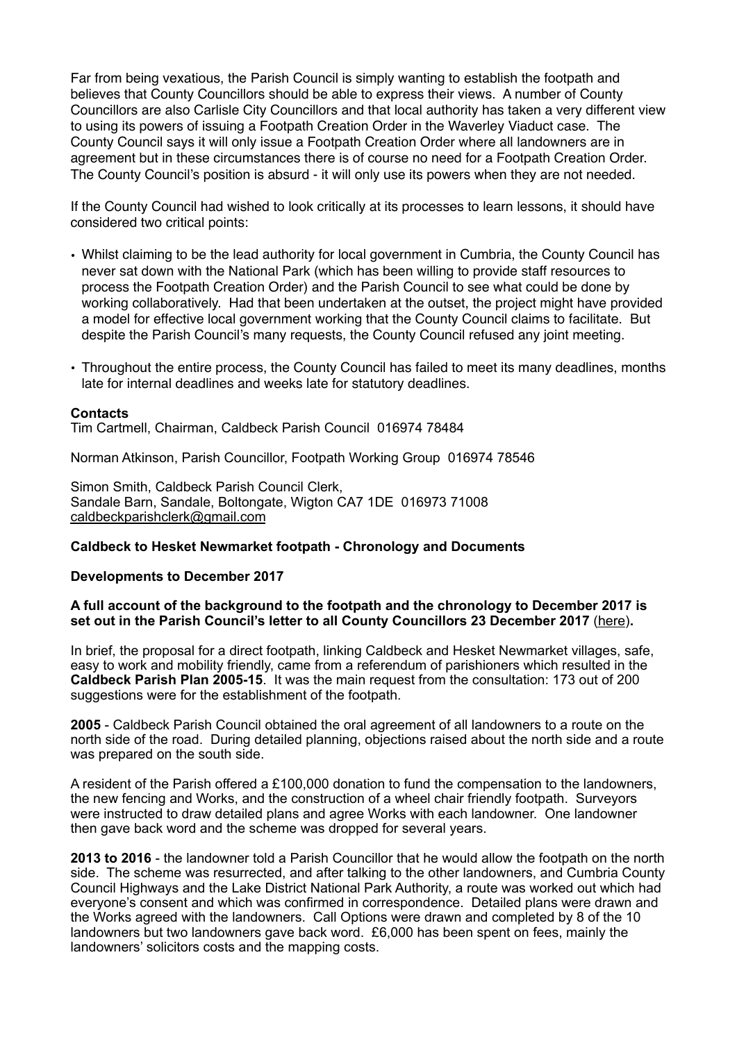Far from being vexatious, the Parish Council is simply wanting to establish the footpath and believes that County Councillors should be able to express their views. A number of County Councillors are also Carlisle City Councillors and that local authority has taken a very different view to using its powers of issuing a Footpath Creation Order in the Waverley Viaduct case. The County Council says it will only issue a Footpath Creation Order where all landowners are in agreement but in these circumstances there is of course no need for a Footpath Creation Order. The County Council's position is absurd - it will only use its powers when they are not needed.

If the County Council had wished to look critically at its processes to learn lessons, it should have considered two critical points:

- Whilst claiming to be the lead authority for local government in Cumbria, the County Council has never sat down with the National Park (which has been willing to provide staff resources to process the Footpath Creation Order) and the Parish Council to see what could be done by working collaboratively. Had that been undertaken at the outset, the project might have provided a model for effective local government working that the County Council claims to facilitate. But despite the Parish Council's many requests, the County Council refused any joint meeting.
- Throughout the entire process, the County Council has failed to meet its many deadlines, months late for internal deadlines and weeks late for statutory deadlines.

## **Contacts**

Tim Cartmell, Chairman, Caldbeck Parish Council 016974 78484

Norman Atkinson, Parish Councillor, Footpath Working Group 016974 78546

Simon Smith, Caldbeck Parish Council Clerk, Sandale Barn, Sandale, Boltongate, Wigton CA7 1DE 016973 71008 [caldbeckparishclerk@gmail.com](mailto:caldbeckparishclerk@gmail.com)

## **Caldbeck to Hesket Newmarket footpath - Chronology and Documents**

#### **Developments to December 2017**

## **A full account of the background to the footpath and the chronology to December 2017 is set out in the Parish Council's letter to all County Councillors 23 December 2017** [\(here](http://www.caldbeck.org.uk/wp-content/uploads/Letter-to-County-Councillors-23.12.17.pdf))**.**

In brief, the proposal for a direct footpath, linking Caldbeck and Hesket Newmarket villages, safe, easy to work and mobility friendly, came from a referendum of parishioners which resulted in the **Caldbeck Parish Plan 2005-15**. It was the main request from the consultation: 173 out of 200 suggestions were for the establishment of the footpath.

**2005** - Caldbeck Parish Council obtained the oral agreement of all landowners to a route on the north side of the road. During detailed planning, objections raised about the north side and a route was prepared on the south side.

A resident of the Parish offered a £100,000 donation to fund the compensation to the landowners, the new fencing and Works, and the construction of a wheel chair friendly footpath. Surveyors were instructed to draw detailed plans and agree Works with each landowner. One landowner then gave back word and the scheme was dropped for several years.

**2013 to 2016** - the landowner told a Parish Councillor that he would allow the footpath on the north side. The scheme was resurrected, and after talking to the other landowners, and Cumbria County Council Highways and the Lake District National Park Authority, a route was worked out which had everyone's consent and which was confirmed in correspondence. Detailed plans were drawn and the Works agreed with the landowners. Call Options were drawn and completed by 8 of the 10 landowners but two landowners gave back word. £6,000 has been spent on fees, mainly the landowners' solicitors costs and the mapping costs.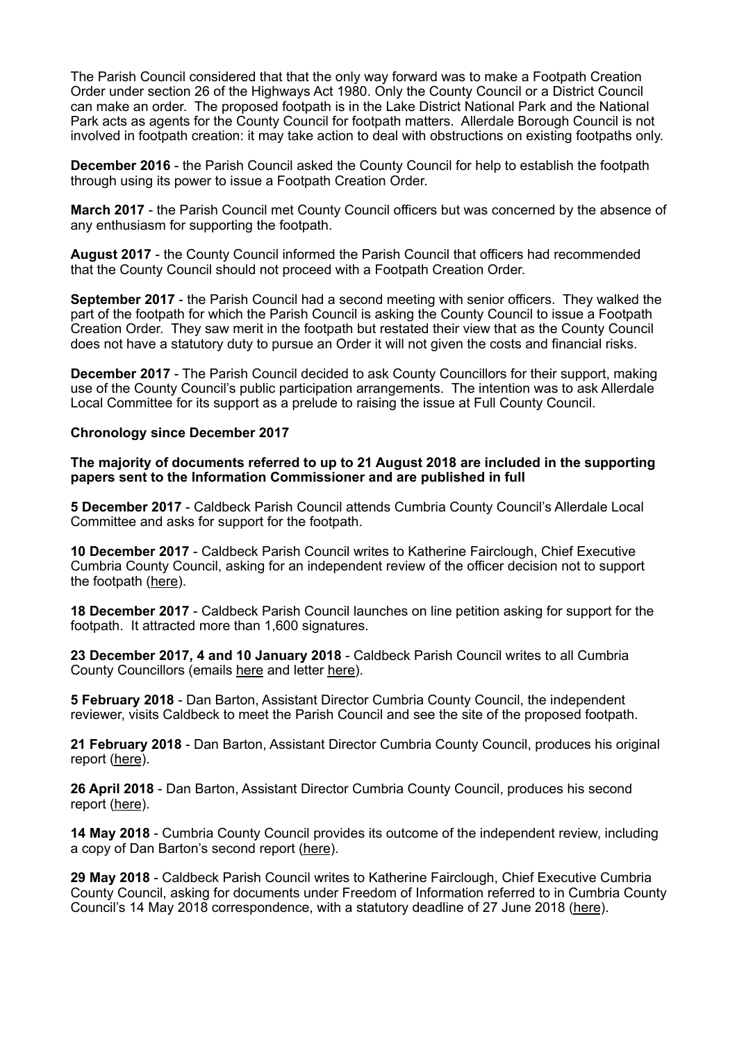The Parish Council considered that that the only way forward was to make a Footpath Creation Order under section 26 of the Highways Act 1980. Only the County Council or a District Council can make an order. The proposed footpath is in the Lake District National Park and the National Park acts as agents for the County Council for footpath matters. Allerdale Borough Council is not involved in footpath creation: it may take action to deal with obstructions on existing footpaths only.

**December 2016** - the Parish Council asked the County Council for help to establish the footpath through using its power to issue a Footpath Creation Order.

**March 2017** - the Parish Council met County Council officers but was concerned by the absence of any enthusiasm for supporting the footpath.

**August 2017** - the County Council informed the Parish Council that officers had recommended that the County Council should not proceed with a Footpath Creation Order.

**September 2017** - the Parish Council had a second meeting with senior officers. They walked the part of the footpath for which the Parish Council is asking the County Council to issue a Footpath Creation Order. They saw merit in the footpath but restated their view that as the County Council does not have a statutory duty to pursue an Order it will not given the costs and financial risks.

**December 2017** - The Parish Council decided to ask County Councillors for their support, making use of the County Council's public participation arrangements. The intention was to ask Allerdale Local Committee for its support as a prelude to raising the issue at Full County Council.

## **Chronology since December 2017**

**The majority of documents referred to up to 21 August 2018 are included in the supporting papers sent to the Information Commissioner and are published in full** 

**5 December 2017** - Caldbeck Parish Council attends Cumbria County Council's Allerdale Local Committee and asks for support for the footpath.

**10 December 2017** - Caldbeck Parish Council writes to Katherine Fairclough, Chief Executive Cumbria County Council, asking for an independent review of the officer decision not to support the footpath ([here\)](http://www.caldbeck.org.uk/wp-content/uploads/Doc-B-Letter-to-KF-10.12.17.pdf).

**18 December 2017** - Caldbeck Parish Council launches on line petition asking for support for the footpath. It attracted more than 1,600 signatures.

**23 December 2017, 4 and 10 January 2018** - Caldbeck Parish Council writes to all Cumbria County Councillors (emails [here](http://www.caldbeck.org.uk/wp-content/uploads/Covering-emails-to-County-Councillors.pdf) and letter [here\)](http://www.caldbeck.org.uk/wp-content/uploads/Letter-to-County-Councillors-23.12.17.pdf).

**5 February 2018** - Dan Barton, Assistant Director Cumbria County Council, the independent reviewer, visits Caldbeck to meet the Parish Council and see the site of the proposed footpath.

**21 February 2018** - Dan Barton, Assistant Director Cumbria County Council, produces his original report [\(here](http://www.caldbeck.org.uk/wp-content/uploads/Original-report-of-Independent-Reviewer-21.2.18.pdf)).

**26 April 2018** - Dan Barton, Assistant Director Cumbria County Council, produces his second report [\(here](http://www.caldbeck.org.uk/wp-content/uploads/Doc-G1-Report-dated-26.4.18.pdf)).

**14 May 2018** - Cumbria County Council provides its outcome of the independent review, including a copy of Dan Barton's second report [\(here](http://www.caldbeck.org.uk/wp-content/uploads/Doc-G1-Report-dated-26.4.18.pdf)).

**29 May 2018** - Caldbeck Parish Council writes to Katherine Fairclough, Chief Executive Cumbria County Council, asking for documents under Freedom of Information referred to in Cumbria County Council's 14 May 2018 correspondence, with a statutory deadline of 27 June 2018 [\(here](http://www.caldbeck.org.uk/wp-content/uploads/Doc-H1-Letter-to-KF-29.5.18.pdf)).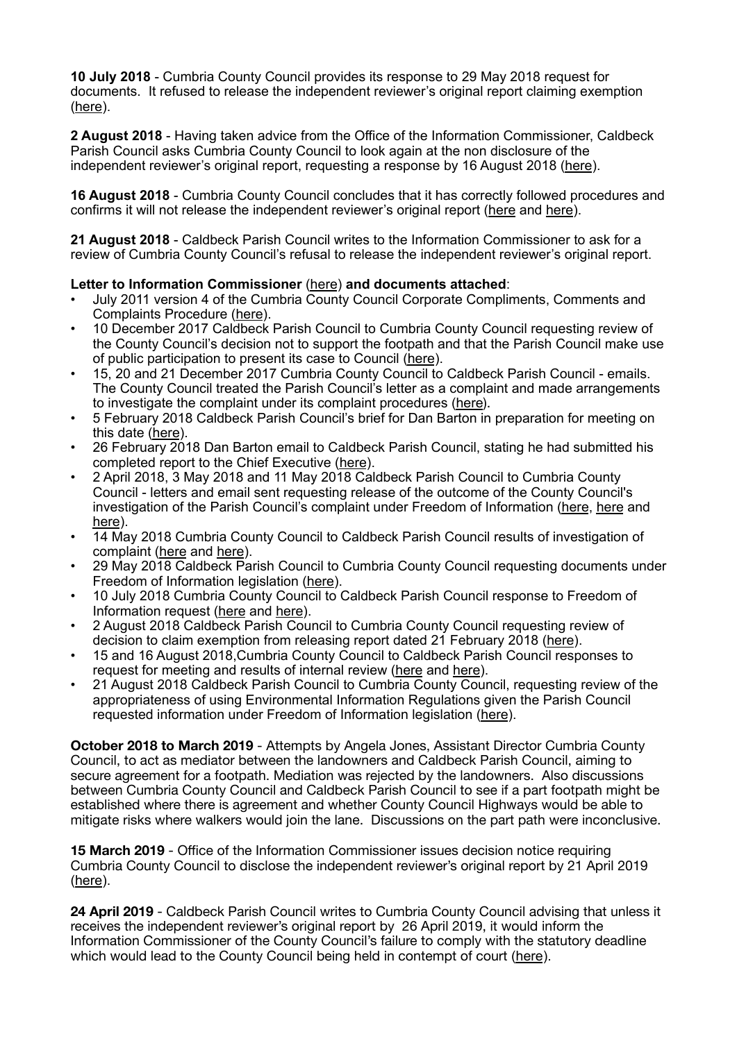**10 July 2018** - Cumbria County Council provides its response to 29 May 2018 request for documents. It refused to release the independent reviewer's original report claiming exemption [\(here](http://www.caldbeck.org.uk/wp-content/uploads/Doc-I1-Letter-from-CCC-10.7.18.pdf)).

**2 August 2018** - Having taken advice from the Office of the Information Commissioner, Caldbeck Parish Council asks Cumbria County Council to look again at the non disclosure of the independent reviewer's original report, requesting a response by 16 August 2018 [\(here](http://www.caldbeck.org.uk/wp-content/uploads/Doc-J-Letter-to-KF-2.8.18.pdf)).

**16 August 2018** - Cumbria County Council concludes that it has correctly followed procedures and confirms it will not release the independent reviewer's original report [\(here](http://www.caldbeck.org.uk/wp-content/uploads/Doc-K1-Letter-from-KF-15.8.18.pdf) and [here](http://www.caldbeck.org.uk/wp-content/uploads/Doc-K2-Letter-from-CCC-16.5.18.pdf)).

**21 August 2018** - Caldbeck Parish Council writes to the Information Commissioner to ask for a review of Cumbria County Council's refusal to release the independent reviewer's original report.

# **Letter to Information Commissioner** [\(here](http://www.caldbeck.org.uk/wp-content/uploads/Information-Commissioner-21-August-2018.pdf)) **and documents attached**:

- July 2011 version 4 of the Cumbria County Council Corporate Compliments, Comments and Complaints Procedure [\(here](http://www.caldbeck.org.uk/wp-content/uploads/Doc-A-Complaints-Procedure.pdf)).
- 10 December 2017 Caldbeck Parish Council to Cumbria County Council requesting review of the County Council's decision not to support the footpath and that the Parish Council make use of public participation to present its case to Council [\(here](http://www.caldbeck.org.uk/wp-content/uploads/Doc-B-Letter-to-KF-10.12.17.pdf)).
- 15, 20 and 21 December 2017 Cumbria County Council to Caldbeck Parish Council emails. The County Council treated the Parish Council's letter as a complaint and made arrangements to investigate the complaint under its complaint procedures [\(here](http://www.caldbeck.org.uk/wp-content/uploads/Doc-C-Emails-from-CCC-Dec-2017.pdf)).
- 5 February 2018 Caldbeck Parish Council's brief for Dan Barton in preparation for meeting on this date [\(here](http://www.caldbeck.org.uk/wp-content/uploads/Doc-D-Dan-Barton-brief-5.2.18.pdf)).
- 26 February 2018 Dan Barton email to Caldbeck Parish Council, stating he had submitted his completed report to the Chief Executive [\(here](http://www.caldbeck.org.uk/wp-content/uploads/Doc-E-Dan-Barton-email-26.02.18.pdf)).
- 2 April 2018, 3 May 2018 and 11 May 2018 Caldbeck Parish Council to Cumbria County Council - letters and email sent requesting release of the outcome of the County Council's investigation of the Parish Council's complaint under Freedom of Information ([here,](http://www.caldbeck.org.uk/wp-content/uploads/Doc-F1-Letter-to-KF-2.4.18.pdf) [here](http://www.caldbeck.org.uk/wp-content/uploads/Doc-F2-Letter-to-KF-3.5.18.pdf) and [here](http://www.caldbeck.org.uk/wp-content/uploads/Doc-F3-Email-to-CCC-11.5.18.pdf)).
- 14 May 2018 Cumbria County Council to Caldbeck Parish Council results of investigation of complaint [\(here](http://www.caldbeck.org.uk/wp-content/uploads/Doc-G1-Report-dated-26.4.18.pdf) and [here](http://www.caldbeck.org.uk/wp-content/uploads/Doc-G2-Email-from-CCC-14.5.18.pdf)).
- 29 May 2018 Caldbeck Parish Council to Cumbria County Council requesting documents under Freedom of Information legislation [\(here](http://www.caldbeck.org.uk/wp-content/uploads/Doc-H1-Letter-to-KF-29.5.18.pdf)).
- 10 July 2018 Cumbria County Council to Caldbeck Parish Council response to Freedom of Information request [\(here](http://www.caldbeck.org.uk/wp-content/uploads/Doc-I1-Letter-from-CCC-10.7.18.pdf) and [here\)](http://www.caldbeck.org.uk/wp-content/uploads/Doc-I2-CCC-Portfolio-Holders-11.9.17.pdf).
- 2 August 2018 Caldbeck Parish Council to Cumbria County Council requesting review of decision to claim exemption from releasing report dated 21 February 2018 ([here\)](http://www.caldbeck.org.uk/wp-content/uploads/Doc-J-Letter-to-KF-2.8.18.pdf).
- 15 and 16 August 2018,Cumbria County Council to Caldbeck Parish Council responses to request for meeting and results of internal review [\(here](http://www.caldbeck.org.uk/wp-content/uploads/Doc-K1-Letter-from-KF-15.8.18.pdf) and [here](http://www.caldbeck.org.uk/wp-content/uploads/Doc-K2-Letter-from-CCC-16.5.18.pdf)).
- 21 August 2018 Caldbeck Parish Council to Cumbria County Council, requesting review of the appropriateness of using Environmental Information Regulations given the Parish Council requested information under Freedom of Information legislation [\(here](http://www.caldbeck.org.uk/wp-content/uploads/Doc-L-Letter-to-KF-21.8.18.pdf)).

**October 2018 to March 2019** - Attempts by Angela Jones, Assistant Director Cumbria County Council, to act as mediator between the landowners and Caldbeck Parish Council, aiming to secure agreement for a footpath. Mediation was rejected by the landowners. Also discussions between Cumbria County Council and Caldbeck Parish Council to see if a part footpath might be established where there is agreement and whether County Council Highways would be able to mitigate risks where walkers would join the lane. Discussions on the part path were inconclusive.

**15 March 2019** - Office of the Information Commissioner issues decision notice requiring Cumbria County Council to disclose the independent reviewer's original report by 21 April 2019 [\(here](http://www.caldbeck.org.uk/wp-content/uploads/Information-Commissioner%E2%80%99s-Decision-Notice-15.3-19.pdf)).

**24 April 2019** - Caldbeck Parish Council writes to Cumbria County Council advising that unless it receives the independent reviewer's original report by 26 April 2019, it would inform the Information Commissioner of the County Council's failure to comply with the statutory deadline which would lead to the County Council being held in contempt of court [\(here\)](http://www.caldbeck.org.uk/wp-content/uploads/Emails-requesting-release-of-report-.pdf).